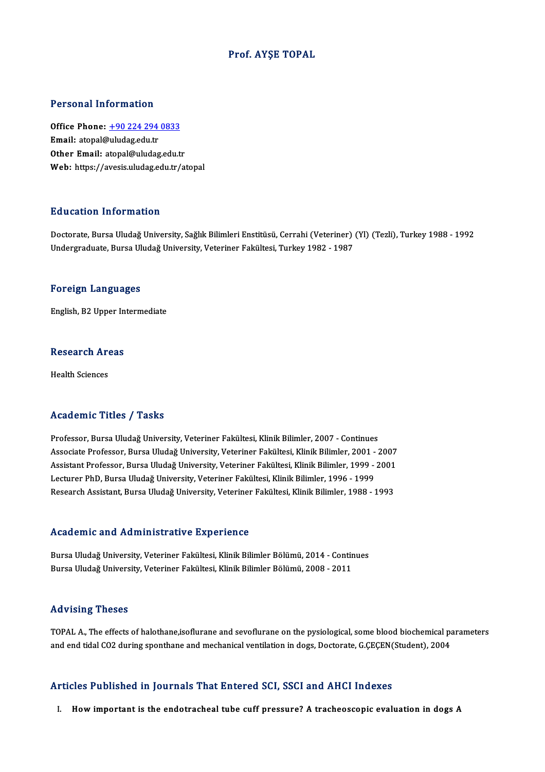### Prof. AYŞE TOPAL

#### Personal Information

Office Phone: +90 224 294 0833 Email: atopal[@uludag.edu.tr](tel:+90 224 294 0833) Other Email: atopal@uludag.edu.tr Web: https://avesis.uludag.edu.tr/atopal

#### Education Information

<mark>Education Information</mark><br>Doctorate, Bursa Uludağ University, Sağlık Bilimleri Enstitüsü, Cerrahi (Veteriner) (Yl) (Tezli), Turkey 1988 - 1992<br>Undergraduate Burga Uludağ University, Veteriner Fakültesi, Turkey 1982, 1987 Undergraduate,BursaUludağUniversity,Veteriner Fakültesi,Turkey1982 -1987 Undergraduate, Bursa Uludağ University, Veteriner Fakültesi, Turkey 1982 - 1987<br>Foreign Languages

English,B2Upper Intermediate

# engusn, B2 Upper in<br>Research Areas R<mark>esearch Ar</mark><br>Health Sciences

# Academic Titles / Tasks

Academic Titles / Tasks<br>Professor, Bursa Uludağ University, Veteriner Fakültesi, Klinik Bilimler, 2007 - Continues<br>Assesiste Professor, Bursa Uludağ University, Veteriner Fakültesi, Klinik Bilimler, 2001 - ´ Associate Articus 7 - 1 1981<br>Professor, Bursa Uludağ University, Veteriner Fakültesi, Klinik Bilimler, 2007 - Continues<br>Associate Professor, Bursa Uludağ University, Veteriner Fakültesi, Klinik Bilimler, 2001 - 2007<br>Assist Professor, Bursa Uludağ University, Veteriner Fakültesi, Klinik Bilimler, 2007 - Continues<br>Associate Professor, Bursa Uludağ University, Veteriner Fakültesi, Klinik Bilimler, 2001 - 2007<br>Assistant Professor, Bursa Uludağ U Associate Professor, Bursa Uludağ University, Veteriner Fakültesi, Klinik Bilimler, 2001 -<br>Assistant Professor, Bursa Uludağ University, Veteriner Fakültesi, Klinik Bilimler, 1999 -<br>Lecturer PhD, Bursa Uludağ University, V Assistant Professor, Bursa Uludağ University, Veteriner Fakültesi, Klinik Bilimler, 1999 - 2001<br>Lecturer PhD, Bursa Uludağ University, Veteriner Fakültesi, Klinik Bilimler, 1996 - 1999<br>Research Assistant, Bursa Uludağ Univ Research Assistant, Bursa Uludağ University, Veteriner Fakültesi, Klinik Bilimler, 1988 - 1993<br>Academic and Administrative Experience

Academic and Administrative Experience<br>Bursa Uludağ University, Veteriner Fakültesi, Klinik Bilimler Bölümü, 2014 - Continues<br>Bursa Uludağ University, Veteriner Fakültesi, Klinik Bilimler Bölümü, 2008, 2011 rsautomistana riuministrati olargorisinse<br>Bursa Uludağ University, Veteriner Fakültesi, Klinik Bilimler Bölümü, 2014 - Contir<br>Bursa Uludağ University, Veteriner Fakültesi, Klinik Bilimler Bölümü, 2008 - 2011 Bursa Uludağ University, Veteriner Fakültesi, Klinik Bilimler Bölümü, 2008 - 2011<br>Advising Theses

TOPAL A., The effects of halothane,isoflurane and sevoflurane on the pysiological, some blood biochemical parameters and end tidal CO2 during sponthane and mechanical ventilation in dogs, Doctorate, G.ÇEÇEN(Student), 2004

### Articles Published in Journals That Entered SCI, SSCI and AHCI Indexes

I. Howimportant is the endotracheal tube cuff pressure? A tracheoscopic evaluation in dogs A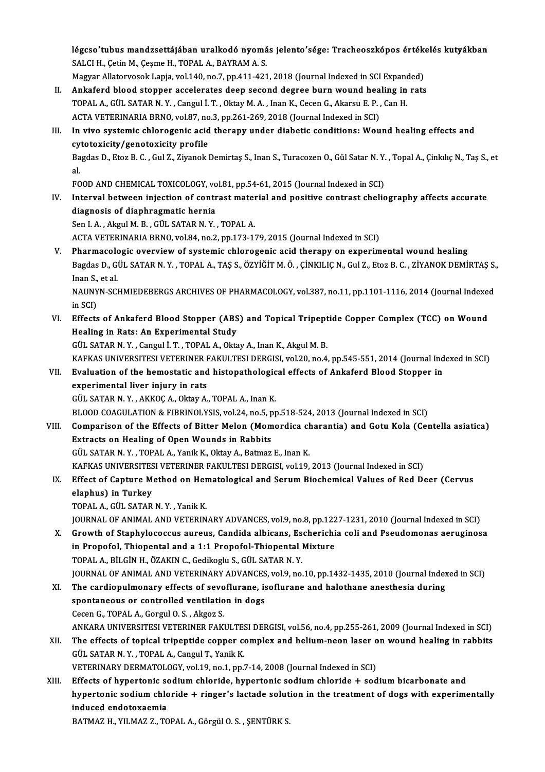légcso′tubus mandzsettájában uralkodó nyomás jelento′sége: Tracheoszkópos értékelés kutyákban<br>SALCH, Getin M. Gesme H. TORAL A. RAVRAM A. S légcso′tubus mandzsettájában uralkodó nyomá<br>SALCI H., Çetin M., Çeşme H., TOPAL A., BAYRAM A. S.<br>Megyer Alleteryesek Laria vel 140 no 7. pp.411.421 légcso'tubus mandzsettájában uralkodó nyomás jelento'sége: Tracheoszkópos érték<br>SALCI H., Çetin M., Çeşme H., TOPAL A., BAYRAM A. S.<br>Magyar Allatorvosok Lapja, vol.140, no.7, pp.411-421, 2018 (Journal Indexed in SCI Expand SALCI H., Çetin M., Çeşme H., TOPAL A., BAYRAM A. S.<br>Magyar Allatorvosok Lapja, vol.140, no.7, pp.411-421, 2018 (Journal Indexed in SCI Expanded)<br>II. Ankaferd blood stopper accelerates deep second degree burn wound hea

- Magyar Allatorvosok Lapja, vol.140, no.7, pp.411-421, 2018 (Journal Indexed in SCI Expand<br>Ankaferd blood stopper accelerates deep second degree burn wound healing in<br>TOPAL A., GÜL SATAR N. Y. , Cangul İ. T. , Oktay M. A. , Ankaferd blood stopper accelerates deep second degree burn wound hea<br>TOPAL A., GÜL SATAR N. Y. , Cangul İ. T. , Oktay M. A. , Inan K., Cecen G., Akarsu E. P. ,<br>ACTA VETERINARIA BRNO, vol.87, no.3, pp.261-269, 2018 (Journal TOPAL A., GÜL SATAR N. Y. , Cangul İ. T. , Oktay M. A. , Inan K., Cecen G., Akarsu E. P. , Can H.<br>ACTA VETERINARIA BRNO, vol.87, no.3, pp.261-269, 2018 (Journal Indexed in SCI)<br>III. In vivo systemic chlorogenic acid therap
- ACTA VETERINARIA BRNO, vol.87, no<br>In vivo systemic chlorogenic acid<br>cytotoxicity/genotoxicity profile<br>Pagdas D. Ftag B. C. Cul Z. Zivanak b In vivo systemic chlorogenic acid therapy under diabetic conditions: Wound healing effects and<br>cytotoxicity/genotoxicity profile<br>Bagdas D., Etoz B. C. , Gul Z., Ziyanok Demirtaş S., Inan S., Turacozen O., Gül Satar N. Y. ,

cy<br>Ba<br>al Bagdas D., Etoz B. C. , Gul Z., Ziyanok Demirtaş S., Inan S., Turacozen O., Gül Satar N. Y.<br>al.<br>FOOD AND CHEMICAL TOXICOLOGY, vol.81, pp.54-61, 2015 (Journal Indexed in SCI)<br>Intervel between injection of sentrast meterial

FOOD AND CHEMICAL TOXICOLOGY, vol.81, pp.54-61, 2015 (Journal Indexed in SCI)

al.<br>FOOD AND CHEMICAL TOXICOLOGY, vol.81, pp.54-61, 2015 (Journal Indexed in SCI)<br>IV. Interval between injection of contrast material and positive contrast cheliography affects accurate<br>diagnosis of diaphragmatic hernia

Sen I. A., Akgul M. B., GÜL SATAR N. Y., TOPAL A.

ACTA VETERINARIA BRNO, vol.84, no.2, pp.173-179, 2015 (Journal Indexed in SCI)

V. Pharmacologic overview of systemic chlorogenic acid therapy on experimental wound healing ACTA VETERINARIA BRNO, vol.84, no.2, pp.173-179, 2015 (Journal Indexed in SCI)<br><mark>Pharmacologic overview of systemic chlorogenic acid therapy on experimental wound healing</mark><br>Bagdas D., GÜL SATAR N. Y. , TOPAL A., TAŞ S., ÖZYİ P<mark>harmacolo</mark><br>Bagdas D., G<br>Inan S., et al.<br>NAUNVN SCI Bagdas D., GÜL SATAR N. Y. , TOPAL A., TAŞ S., ÖZYİĞİT M. Ö. , ÇİNKILIÇ N., Gul Z., Etoz B. C. , ZİYANOK DEMİRTAŞ S.<br>Inan S., et al.<br>NAUNYN-SCHMIEDEBERGS ARCHIVES OF PHARMACOLOGY, vol.387, no.11, pp.1101-1116, 2014 (Journa

Inan S.,<br>NAUNY<br>in SCI)<br>Effects NAUNYN-SCHMIEDEBERGS ARCHIVES OF PHARMACOLOGY, vol.387, no.11, pp.1101-1116, 2014 (Journal Indexed<br>in SCI)<br>VI. Effects of Ankaferd Blood Stopper (ABS) and Topical Tripeptide Copper Complex (TCC) on Wound<br>Healing in Pats: A

in SCI)<br>VI. Effects of Ankaferd Blood Stopper (ABS) and Topical Tripeptide Copper Complex (TCC) on Wound<br>Healing in Rats: An Experimental Study GÜL SATAR N.Y., Cangul İ.T., TOPAL A., Oktay A., Inan K., Akgul M.B. Healing in Rats: An Experimental Study<br>GÜL SATAR N.Y. , Cangul İ. T. , TOPAL A., Oktay A., Inan K., Akgul M. B.<br>KAFKAS UNIVERSITESI VETERINER FAKULTESI DERGISI, vol.20, no.4, pp.545-551, 2014 (Journal Indexed in SCI)<br>Evalu

GÜL SATAR N. Y. , Cangul İ. T. , TOPAL A., Oktay A., Inan K., Akgul M. B.<br>KAFKAS UNIVERSITESI VETERINER FAKULTESI DERGISI, vol.20, no.4, pp.545-551, 2014 (Journal Ind<br>VII. Evaluation of the hemostatic and histopathological KAFKAS UNIVERSITESI VETERINER I<br>Evaluation of the hemostatic and<br>experimental liver injury in rats<br>CÜL SATAR N Y A*VVOCA* OktavA VII. Evaluation of the hemostatic and histopathological effects of Ankaferd Blood Stopper in<br>experimental liver injury in rats<br>GÜL SATAR N.Y., AKKOÇ A., Oktay A., TOPAL A., Inan K.

BLOOD COAGULATION & FIBRINOLYSIS, vol.24, no.5, pp.518-524, 2013 (Journal Indexed in SCI)

GÜL SATAR N.Y., AKKOÇ A., Oktay A., TOPAL A., Inan K.<br>BLOOD COAGULATION & FIBRINOLYSIS, vol.24, no.5, pp.518-524, 2013 (Journal Indexed in SCI)<br>VIII. Comparison of the Effects of Bitter Melon (Momordica charantia) and Gotu BLOOD COAGULATION & FIBRINOLYSIS, vol.24, no.5, p<br>Comparison of the Effects of Bitter Melon (Mom<br>Extracts on Healing of Open Wounds in Rabbits<br>CUL SATAR N.Y., TORAL A, Yanil: K. Oltay A, Batmar Comparison of the Effects of Bitter Melon (Momordica checktracts on Healing of Open Wounds in Rabbits<br>GÜL SATAR N.Y., TOPAL A., Yanik K., Oktay A., Batmaz E., Inan K.<br>KAEKAS UNIVERSITESI VETERINER FAKULTESI DERCISI val 19 Extracts on Healing of Open Wounds in Rabbits<br>GÜL SATAR N. Y. , TOPAL A., Yanik K., Oktay A., Batmaz E., Inan K.<br>KAFKAS UNIVERSITESI VETERINER FAKULTESI DERGISI, vol.19, 2013 (Journal Indexed in SCI)<br>Effect of Canture Meth

# GÜL SATAR N. Y. , TOPAL A., Yanik K., Oktay A., Batmaz E., Inan K.<br>KAFKAS UNIVERSITESI VETERINER FAKULTESI DERGISI, vol.19, 2013 (Journal Indexed in SCI)<br>IX. Effect of Capture Method on Hematological and Serum Biochemical KAFKAS UNIVERSITES<br>Effect of Capture M<br>elaphus) in Turkey<br>TOPAL A CÜL SATAR

TOPAL A., GÜL SATAR N.Y., Yanik K.

JOURNAL OF ANIMAL AND VETERINARY ADVANCES, vol.9, no.8, pp.1227-1231, 2010 (Journal Indexed in SCI)

X. Growth of Staphylococcus aureus, Candida albicans, Escherichia coli and Pseudomonas aeruginosa JOURNAL OF ANIMAL AND VETERINARY ADVANCES, vol.9, no.8, pp.122<br>Growth of Staphylococcus aureus, Candida albicans, Escherichi<br>in Propofol, Thiopental and a 1:1 Propofol-Thiopental Mixture<br>TOBAL A, BU CIN H, ÖZAKING Godilogl Growth of Staphylococcus aureus, Candida albicans, Es<br>in Propofol, Thiopental and a 1:1 Propofol-Thiopental I<br>TOPAL A., BİLGİN H., ÖZAKIN C., Gedikoglu S., GÜL SATAR N. Y.<br>JOUPNAL OF ANIMAL AND VETERINARY ADVANCES .vol.9, TOPAL A., BİLGİN H., ÖZAKIN C., Gedikoglu S., GÜL SATAR N. Y.<br>JOURNAL OF ANIMAL AND VETERINARY ADVANCES, vol.9, no.10, pp.1432-1435, 2010 (Journal Indexed in SCI) TOPAL A., BİLGİN H., ÖZAKIN C., Gedikoglu S., GÜL SATAR N. Y.<br>JOURNAL OF ANIMAL AND VETERINARY ADVANCES, vol.9, no.10, pp.1432-1435, 2010 (Journal Index<br>XI. The cardiopulmonary effects of sevoflurane, isoflurane and haloth

- JOURNAL OF ANIMAL AND VETERINARY ADVANCES<br>The cardiopulmonary effects of sevoflurane, is<br>spontaneous or controlled ventilation in dogs<br>Cesen C. TOBAL A. Cergul O. S. Alson S. The cardiopulmonary effects of sevo<br>spontaneous or controlled ventilatio<br>Cecen G., TOPAL A., Gorgul O. S., Akgoz S.<br>ANKARA UNIVERSITESI VETERINER FAK spontaneous or controlled ventilation in dogs<br>Cecen G., TOPAL A., Gorgul O. S. , Akgoz S.<br>ANKARA UNIVERSITESI VETERINER FAKULTESI DERGISI, vol.56, no.4, pp.255-261, 2009 (Journal Indexed in SCI)<br>The effects of tonical trin Cecen G., TOPAL A., Gorgul O. S. , Akgoz S.<br>ANKARA UNIVERSITESI VETERINER FAKULTESI DERGISI, vol.56, no.4, pp.255-261, 2009 (Journal Indexed in SCI)<br>XII. The effects of topical tripeptide copper complex and helium-neon las
- ANKARA UNIVERSITESI VETERINER FAKULTES<br>The effects of topical tripeptide copper could SATAR N. Y. , TOPAL A., Cangul T., Yanik K.<br>VETERINARY DERMATOLOGY .vol.19, po.1, pp.1 The effects of topical tripeptide copper complex and helium-neon laser o<br>GÜL SATAR N.Y., TOPAL A., Cangul T., Yanik K.<br>VETERINARY DERMATOLOGY, vol.19, no.1, pp.7-14, 2008 (Journal Indexed in SCI)<br>Effects of bunestonis sedi

GÜL SATAR N.Y., TOPAL A., Cangul T., Yanik K.<br>VETERINARY DERMATOLOGY, vol.19, no.1, pp.7-14, 2008 (Journal Indexed in SCI)<br>XIII. Effects of hypertonic sodium chloride, hypertonic sodium chloride + sodium bicarbonate and<br>hy VETERINARY DERMATOLOGY, vol.19, no.1, pp.7-14, 2008 (Journal Indexed in SCI)<br>Effects of hypertonic sodium chloride, hypertonic sodium chloride + sodium bicarbonate and<br>hypertonic sodium chloride + ringer's lactade solution Effects of hypertonic so<br>hypertonic sodium chlc<br>induced endotoxaemia<br>BATMAZ H\_VILMAZ Z\_TC hypertonic sodium chloride + ringer's lactade solution in the treatment of dogs with experimentally induced endotoxaemia<br>BATMAZ H., YILMAZ Z., TOPAL A., Görgül O.S. , ŞENTÜRK S.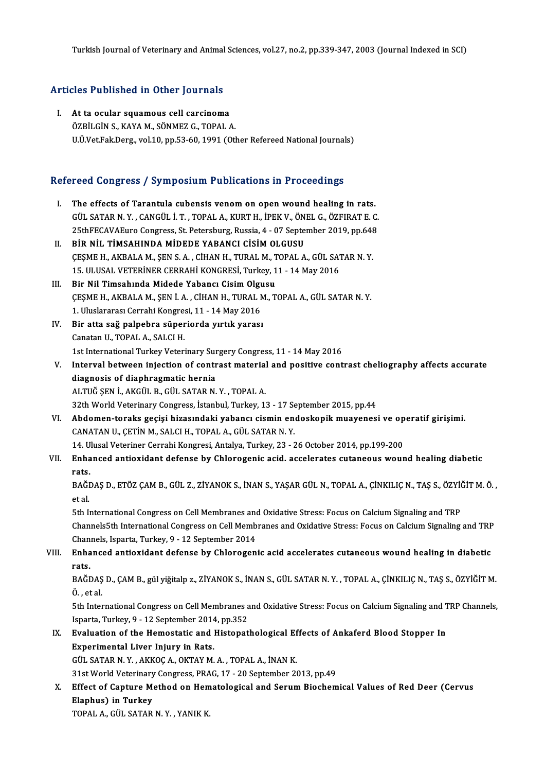# Iurkish Journal of Veterinary and Animal<br>Articles Published in Other Journals

rticles Published in Other Journals<br>I. At ta ocular squamous cell carcinoma<br>ÖZPU CİN S. KAVA M. SÖNMEZ C. TOPAL ( I. At ta ocular squamous cell carcinoma<br>ÖZBİLGİN S. KAYA M. SÖNMEZ G. TOPAL A. U.Ü.Vet.Fak.Derg., vol.10, pp.53-60, 1991 (Other Refereed National Journals)

# o.o.vec.rak.perg., vol.10, pp.53-60, 1991 (other kelereed National Journal)<br>Refereed Congress / Symposium Publications in Proceedings

- efereed Congress / Symposium Publications in Proceedings<br>I. The effects of Tarantula cubensis venom on open wound healing in rats.<br>CULEATARN Y, CANCULLT, TORALA, KUPT H, IDEK V, ÖNELG, ÖZEIRATE C The effects of Tarantula cubensis venom on open wound healing in rats.<br>GÜL SATAR N.Y., CANGÜL İ.T., TOPAL A., KURT H., İPEK V., ÖNEL G., ÖZFIRAT E. C.<br>25thEECAVAEure Congress St. Betareburg, Bussia 4, 07 September 2019, pp The effects of Tarantula cubensis venom on open wound healing in rats.<br>GÜL SATAR N. Y. , CANGÜL İ. T. , TOPAL A., KURT H., İPEK V., ÖNEL G., ÖZFIRAT E. C.<br>25thFECAVAEuro Congress, St. Petersburg, Russia, 4 - 07 September 2 25thFECAVAEuro Congress, St. Petersburg, Russia, 4 - 07 September 2019, pp.648
- II. BİR NİL TİMSAHINDA MİDEDE YABANCI CİSİM OLGUSU<br>CESME H. AKBALA M. SEN S. A. . CİHAN H. TURAL M. TOPAL A. GÜL SATAR N. Y. 15. ULUSAL VETERİNER CERRAHİ KONGRESİ, Turkey, 11 - 14 May 2016 CEȘME H., AKBALA M., ȘEN S. A., CİHAN H., TURAL M., T<br>15. ULUSAL VETERİNER CERRAHİ KONGRESİ, Turkey, 1<br>III. Bir Nil Timsahında Midede Yabancı Cisim Olgusu<br>CESME H. AKBALA M. SEN İ. A., CİHAN H. TUBAL M. T
- ÇEŞMEH.,AKBALAM.,ŞENİ.A. ,CİHANH.,TURALM.,TOPALA.,GÜL SATARN.Y. Bir Nil Timsahında Midede Yabancı Cisim Olgu<br>ÇEŞME H., AKBALA M., ŞEN İ. A. , CİHAN H., TURAL N<br>1. Uluslararası Cerrahi Kongresi, 11 - 14 May 2016<br>Bir atta çağ nalnabra sünaniorda uutuk yarası 1. Uluslararası Cerrahi Kongresi, 11 - 14 May 2016
- IV. Bir atta sağ palpebra süperiorda yırtık yarası Bir atta sağ palpebra süperiorda yırtık yarası<br>Canatan U., TOPAL A., SALCI H.<br>1st International Turkey Veterinary Surgery Congress, 11 - 14 May 2016<br>Interval between injection of contract material and positive cont
- Canatan U., TOPAL A., SALCI H.<br>1st International Turkey Veterinary Surgery Congress, 11 14 May 2016<br>1. Interval between injection of contrast material and positive contrast cheliography affects accurate<br>1. diagnosis of d 1st International Turkey Veterinary Sur<br>Interval between injection of contr<br>diagnosis of diaphragmatic hernia<br>ALTUČ SEN LAMCÜL B. CÜL SATAR N Interval between injection of contrast material<br>diagnosis of diaphragmatic hernia<br>ALTUĞ ŞEN İ., AKGÜL B., GÜL SATAR N. Y. , TOPAL A.<br>22th World Veterinery Congress, İstanbul Turkey, 1 diagnosis of diaphragmatic hernia<br>ALTUĞ ŞEN İ., AKGÜL B., GÜL SATAR N. Y. , TOPAL A.<br>32th World Veterinary Congress, İstanbul, Turkey, 13 - 17 September 2015, pp.44<br>Abdoman taraks sosisi birasındaki yabansı sismin andaskan
- ALTUĞ ŞEN İ., AKGÜL B., GÜL SATAR N. Y. , TOPAL A.<br>32th World Veterinary Congress, İstanbul, Turkey, 13 17 September 2015, pp.44<br>VI. Abdomen-toraks geçişi hizasındaki yabancı cismin endoskopik muayenesi ve operatif g 32th World Veterinary Congress, İstanbul, Turkey, 13 - 17 Se<br>**Abdomen-toraks geçişi hizasındaki yabancı cismin en**<br>CANATAN U., ÇETİN M., SALCI H., TOPAL A., GÜL SATAR N. Y.<br>14 Hlusel Veterinar Carrabi Kanaresi, Antalya Tur Abdomen-toraks geçişi hizasındaki yabancı cismin endoskopik muayenesi ve op<br>CANATAN U., ÇETİN M., SALCI H., TOPAL A., GÜL SATAR N. Y.<br>14. Ulusal Veteriner Cerrahi Kongresi, Antalya, Turkey, 23 - 26 October 2014, pp.199-200

## VII. Enhanced antioxidant defense by Chlorogenic acid. accelerates cutaneous wound healing diabetic<br>rats. 14. U<br>Enha<br>rats.<br>PAČE Enhanced antioxidant defense by Chlorogenic acid. accelerates cutaneous wound healing diabetic<br>rats.<br>BAĞDAŞ D., ETÖZ ÇAM B., GÜL Z., ZİYANOK S., İNAN S., YAŞAR GÜL N., TOPAL A., ÇİNKILIÇ N., TAŞ S., ÖZYİĞİT M. Ö.<br>etel

r<mark>ats.</mark><br>BAĞl<br>et al. BAĞDAŞ D., ETÖZ ÇAM B., GÜL Z., ZİYANOK S., İNAN S., YAŞAR GÜL N., TOPAL A., ÇİNKILIÇ N., TAŞ S., ÖZYİ<br>et al.<br>5th International Congress on Cell Membranes and Oxidative Stress: Focus on Calcium Signaling and TRP<br>ChannelsEt

et al.<br>5th International Congress on Cell Membranes and Oxidative Stress: Focus on Calcium Signaling and TRP<br>Channels5th International Congress on Cell Membranes and Oxidative Stress: Focus on Calcium Signaling and TRP<br>Cha 5th International Congress on Cell Membranes and<br>Channels, Isparta, Turkey, 9 - 12 September 2014<br>Enhanced antioxidant defense by Chloregen Channels5th International Congress on Cell Membranes and Oxidative Stress: Focus on Calcium Signaling and TRP<br>Channels, Isparta, Turkey, 9 - 12 September 2014<br>VIII. Enhanced antioxidant defense by Chlorogenic acid accelera

# Channels, Isparta, Turkey, 9 - 12 September 2014<br>VIII. Enhanced antioxidant defense by Chlorogenic acid accelerates cutaneous wound healing in diabetic<br>rats. Enhanced antioxidant defense by Chlorogenic acid accelerates cutaneous wound healing in diabetic<br>rats.<br>BAĞDAŞ D., ÇAM B., gül yiğitalp z., ZİYANOK S., İNAN S., GÜL SATAR N. Y. , TOPAL A., ÇİNKILIÇ N., TAŞ S., ÖZYİĞİT M.<br>Ö.

r<mark>ats</mark><br>BAĞDAŞ<br>Ö., et al. BAĞDAŞ D., ÇAM B., gül yiğitalp z., ZİYANOK S., İNAN S., GÜL SATAR N. Y. , TOPAL A., ÇİNKILIÇ N., TAŞ S., ÖZYİĞİT M.<br>Ö. , et al.<br>5th International Congress on Cell Membranes and Oxidative Stress: Focus on Calcium Signaling

Ö. , et al.<br>5th International Congress on Cell Membranes a<br>Isparta, Turkey, 9 - 12 September 2014, pp.352<br>Evaluation of the Hemestatie and Histonat 5th International Congress on Cell Membranes and Oxidative Stress: Focus on Calcium Signaling and 1<br>Isparta, Turkey, 9 - 12 September 2014, pp.352<br>IX. Evaluation of the Hemostatic and Histopathological Effects of Ankaferd

# Isparta, Turkey, 9 - 12 September 2014, pp.352<br>Evaluation of the Hemostatic and Histopathological Ef<br>Experimental Liver Injury in Rats.<br>GÜL SATAR N.Y., AKKOÇ A., OKTAY M.A., TOPAL A., İNAN K. Evaluation of the Hemostatic and Histopathological Ef<br>Experimental Liver Injury in Rats.<br>GÜL SATAR N.Y., AKKOÇ A., OKTAY M.A., TOPAL A., İNAN K.

31st World Veterinary Congress, PRAG, 17 - 20 September 2013, pp.49

## GÜL SATAR N. Y. , AKKOÇ A., OKTAY M. A. , TOPAL A., İNAN K.<br>31st World Veterinary Congress, PRAG, 17 - 20 September 2013, pp.49<br>X. Effect of Capture Method on Hematological and Serum Biochemical Values of Red Deer (Cervus<br> **31st World Veterinary<br>Effect of Capture Me<br>Elaphus) in Turkey<br>TOBAL A CÜL SATAP** Effect of Capture Method on Hem<br>Elaphus) in Turkey<br>TOPAL A., GÜL SATAR N.Y., YANIK K.